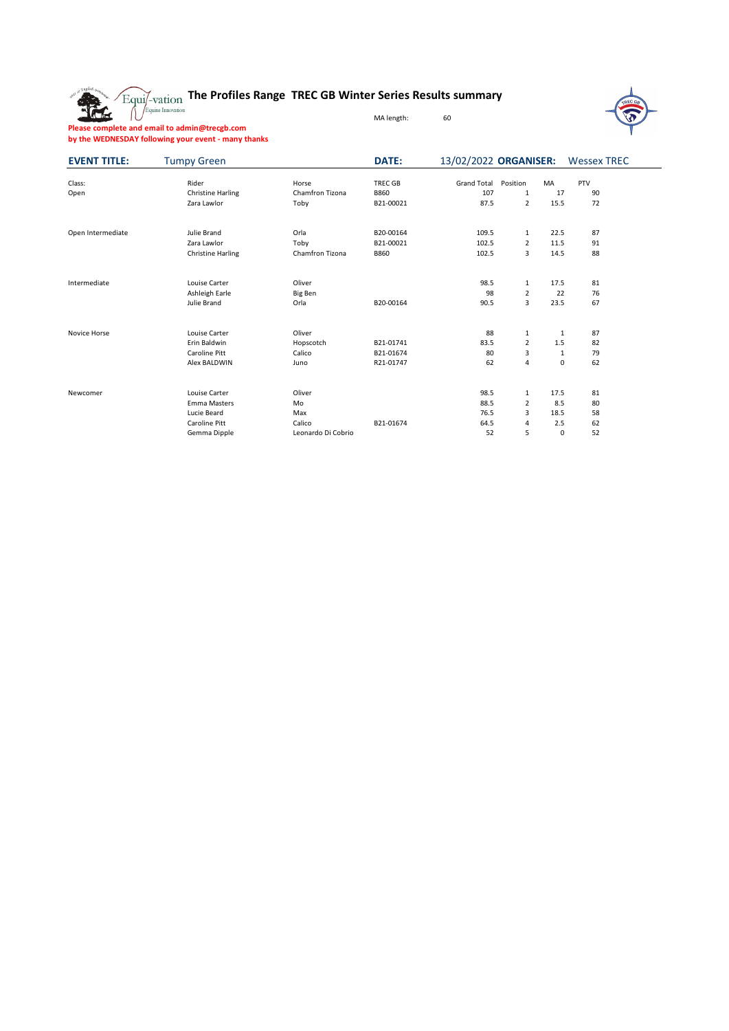**The Profiles Range TREC GB Winter Series Results summary**



**Please complete and email to admin@trecgb.com by the WEDNESDAY following your event - many thanks**

The

| <b>EVENT TITLE:</b> | <b>Tumpy Green</b>       |                    | DATE:          | 13/02/2022 ORGANISER: |                |              | <b>Wessex TREC</b> |  |
|---------------------|--------------------------|--------------------|----------------|-----------------------|----------------|--------------|--------------------|--|
|                     |                          |                    |                |                       |                |              |                    |  |
| Class:              | Rider                    | Horse              | <b>TREC GB</b> | <b>Grand Total</b>    | Position       | MA           | PTV                |  |
| Open                | <b>Christine Harling</b> | Chamfron Tizona    | <b>B860</b>    | 107                   | 1              | 17           | 90                 |  |
|                     | Zara Lawlor              | Toby               | B21-00021      | 87.5                  | $\overline{2}$ | 15.5         | 72                 |  |
| Open Intermediate   | Julie Brand              | Orla               | B20-00164      | 109.5                 | $\mathbf{1}$   | 22.5         | 87                 |  |
|                     | Zara Lawlor              | Toby               | B21-00021      | 102.5                 | $\overline{2}$ | 11.5         | 91                 |  |
|                     | <b>Christine Harling</b> | Chamfron Tizona    | <b>B860</b>    | 102.5                 | 3              | 14.5         | 88                 |  |
| Intermediate        | Louise Carter            | Oliver             |                | 98.5                  | $\mathbf{1}$   | 17.5         | 81                 |  |
|                     | Ashleigh Earle           | Big Ben            |                | 98                    | $\overline{2}$ | 22           | 76                 |  |
|                     | Julie Brand              | Orla               | B20-00164      | 90.5                  | 3              | 23.5         | 67                 |  |
| Novice Horse        | Louise Carter            | Oliver             |                | 88                    | 1              | 1            | 87                 |  |
|                     | Erin Baldwin             | Hopscotch          | B21-01741      | 83.5                  | $\overline{2}$ | 1.5          | 82                 |  |
|                     | Caroline Pitt            | Calico             | B21-01674      | 80                    | 3              | $\mathbf{1}$ | 79                 |  |
|                     | Alex BALDWIN             | Juno               | R21-01747      | 62                    | 4              | 0            | 62                 |  |
| Newcomer            | Louise Carter            | Oliver             |                | 98.5                  | $\mathbf{1}$   | 17.5         | 81                 |  |
|                     | Emma Masters             | Mo                 |                | 88.5                  | $\overline{2}$ | 8.5          | 80                 |  |
|                     | Lucie Beard              | Max                |                | 76.5                  | 3              | 18.5         | 58                 |  |
|                     | Caroline Pitt            | Calico             | B21-01674      | 64.5                  | 4              | 2.5          | 62                 |  |
|                     | Gemma Dipple             | Leonardo Di Cobrio |                | 52                    | 5              | 0            | 52                 |  |

MA length: 60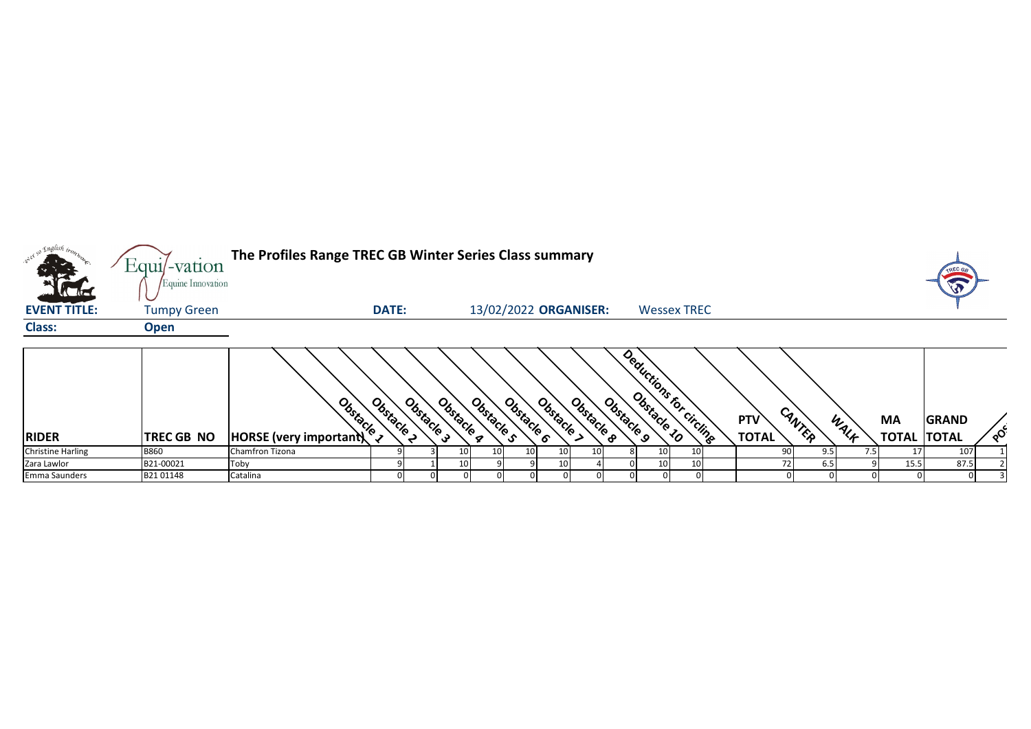| only so English trong<br><b>AC AC</b> | Equil-vation<br>Equine Innovation | The Profiles Range TREC GB Winter Series Class summary                                                                                                                                                                         |                        |                 |                          |                 |                                     |    |                         |                            |        |      |                                 | TREC G<br>VO |          |
|---------------------------------------|-----------------------------------|--------------------------------------------------------------------------------------------------------------------------------------------------------------------------------------------------------------------------------|------------------------|-----------------|--------------------------|-----------------|-------------------------------------|----|-------------------------|----------------------------|--------|------|---------------------------------|--------------|----------|
| <b>EVENT TITLE:</b>                   | <b>Tumpy Green</b>                |                                                                                                                                                                                                                                | <b>DATE:</b>           |                 | 13/02/2022 ORGANISER:    |                 |                                     |    | <b>Wessex TREC</b>      |                            |        |      |                                 |              |          |
| <b>Class:</b>                         | <b>Open</b>                       |                                                                                                                                                                                                                                |                        |                 |                          |                 |                                     |    |                         |                            |        |      |                                 |              |          |
| <b>RIDER</b>                          | <b>TREC GB NO</b>                 | Box Or Contract of the Region of the Region of the Region of the Region of the Region of the Region of the Region of the Region of the Region of the Region of the Region of the Region of the Region of the Region of the Reg | Obstacle 3<br>Obstacle | Obstacle q      | Obstacle s<br>Obstacle 6 | Obstacle >      | Obstacle <sub>9</sub><br>Obstacle B |    | Deductions for circling | <b>PTV</b><br><b>TOTAL</b> | CANTER | WALF | <b>MA</b><br><b>TOTAL TOTAL</b> | <b>GRAND</b> | $\delta$ |
| <b>Christine Harling</b>              | <b>B860</b>                       | Chamfron Tizona                                                                                                                                                                                                                |                        | 10 <sup>1</sup> | 10<br>10 <sub>l</sub>    | 10              | 10 <sup>1</sup>                     | 10 | 10                      |                            | 9.5    |      |                                 | 107          |          |
| Zara Lawlor                           | B21-00021                         | Toby                                                                                                                                                                                                                           |                        | 10              |                          | 10 <sub>l</sub> |                                     | 10 | 10                      |                            | 6.5    |      | 15.5                            | 87.5         |          |
| Emma Saunders                         | B2101148                          | Catalina                                                                                                                                                                                                                       |                        |                 |                          |                 |                                     |    |                         |                            |        |      |                                 |              |          |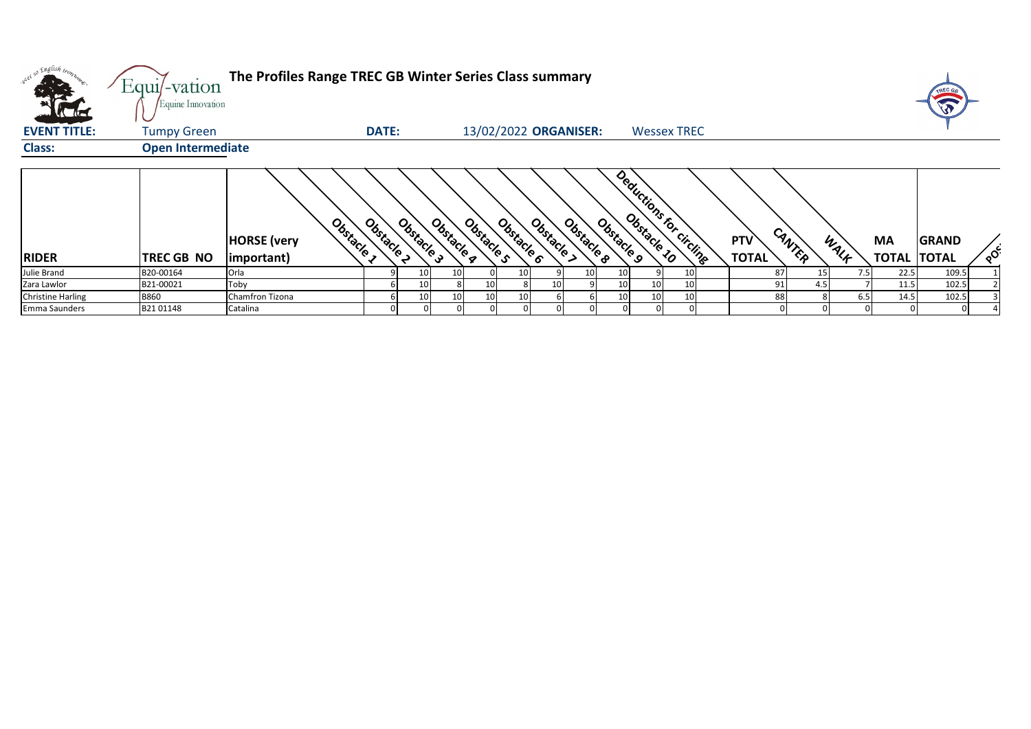|                                   | $Equi$ -vation<br>Equine Innovation | The Profiles Range TREC GB Winter Series Class summary |              |            |            |            |                 |                       |            |            |    |                         |                            |        |      |                    | TREC G                       |          |
|-----------------------------------|-------------------------------------|--------------------------------------------------------|--------------|------------|------------|------------|-----------------|-----------------------|------------|------------|----|-------------------------|----------------------------|--------|------|--------------------|------------------------------|----------|
| <b>KTH</b><br><b>EVENT TITLE:</b> | <b>Tumpy Green</b>                  |                                                        | <b>DATE:</b> |            |            |            |                 | 13/02/2022 ORGANISER: |            |            |    | <b>Wessex TREC</b>      |                            |        |      |                    |                              |          |
| <b>Class:</b>                     | <b>Open Intermediate</b>            |                                                        |              |            |            |            |                 |                       |            |            |    |                         |                            |        |      |                    |                              |          |
| <b>RIDER</b>                      | TREC GB NO                          | Obstacle<br><b>HORSE</b> (very<br>important)           | Obstacle     | Obstacle 3 | Obstacle a | Obstacle s | Obstacle 6      | Obstacle >            | Obstacle 8 | Obstacle 9 |    | Deductions for circuits | <b>PTV</b><br><b>TOTAL</b> | CANTER | WALF | MA<br><b>TOTAL</b> | <b>GRAND</b><br><b>TOTAL</b> | $\delta$ |
| Julie Brand                       | B20-00164                           | Orla                                                   |              | 10         | 10         |            | 10 <sub>l</sub> |                       | 10         |            |    |                         | 87                         | 15     | 7.5  | 22.5               | 109.5                        |          |
| Zara Lawlor                       | B21-00021                           | Toby                                                   |              | 10         |            | 10         |                 | 10                    |            |            |    |                         |                            |        |      | 11.5               | 102.5                        |          |
| <b>Christine Harling</b>          | <b>B860</b>                         | Chamfron Tizona                                        |              | 10         | 10         | 10         | 10              |                       |            |            | 10 |                         | 88                         |        | 6.5  | 14.5               | 102.5                        |          |
| Emma Saunders                     | B2101148                            | Catalina                                               |              |            |            |            |                 |                       |            |            |    |                         |                            |        |      |                    |                              |          |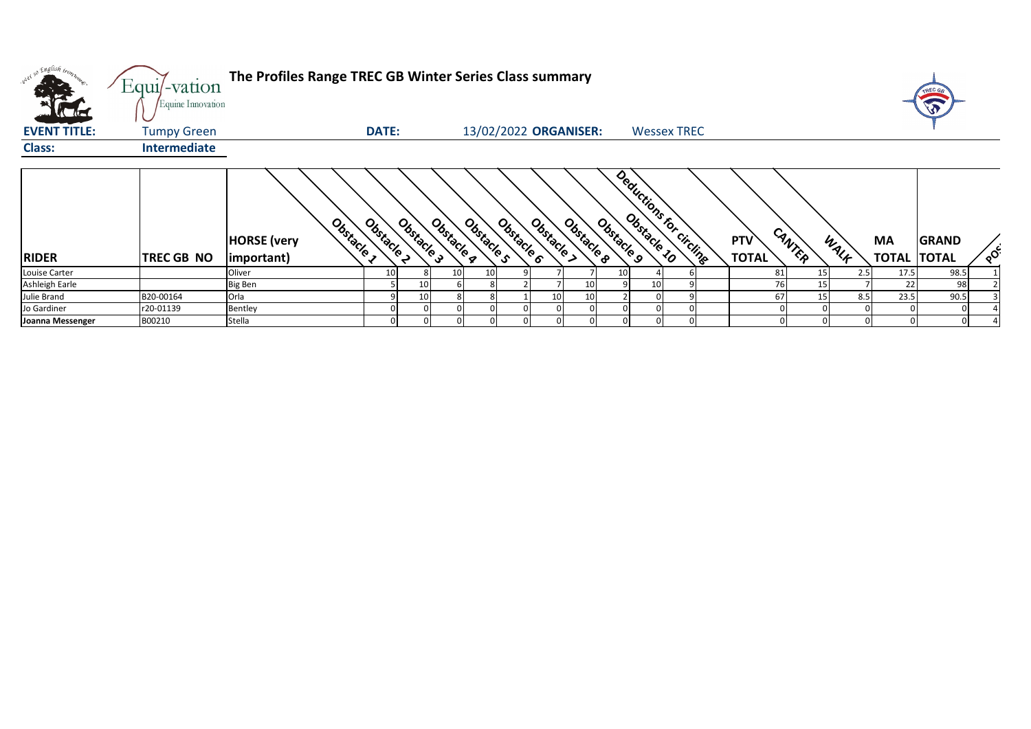| w <sup>ed 50</sup> English tront. | Equi/-vation<br>Equine Innovation | The Profiles Range TREC GB Winter Series Class summary |              |                 |            |                       |                          |            |            |                          |                     |        |      |                                 |              |          |
|-----------------------------------|-----------------------------------|--------------------------------------------------------|--------------|-----------------|------------|-----------------------|--------------------------|------------|------------|--------------------------|---------------------|--------|------|---------------------------------|--------------|----------|
| <b>EVENT TITLE:</b>               | <b>Tumpy Green</b>                |                                                        | <b>DATE:</b> |                 |            | 13/02/2022 ORGANISER: |                          |            |            | <b>Wessex TREC</b>       |                     |        |      |                                 |              |          |
| <b>Class:</b>                     | <b>Intermediate</b>               |                                                        |              |                 |            |                       |                          |            |            |                          |                     |        |      |                                 |              |          |
| <b>RIDER</b>                      | <b>TREC GB NO</b>                 | Obstacle<br><b>HORSE</b> (very<br>important)           | Obstacle     | Obstacle 3      | Obstacle 4 | Obstacle s            | Obstacle 6<br>Obstacle > | Obstacle & | Obstacle 9 | Deductions for circlings | PTV<br><b>TOTAL</b> | CANTER | WALK | <b>MA</b><br><b>TOTAL TOTAL</b> | <b>GRAND</b> | $\delta$ |
| Louise Carter                     |                                   | Oliver                                                 | 10           |                 | 10         | 10                    |                          |            | 10         |                          | 81                  | 15     | 2.5  | 17.5                            | 98.5         |          |
| Ashleigh Earle                    |                                   | <b>Big Ben</b>                                         |              | 10 <sup>1</sup> |            |                       |                          | 10         |            |                          | 76                  | 15     |      | 22                              | 98           |          |
| Julie Brand                       | B20-00164                         | Orla                                                   |              | 10 <sup>1</sup> |            |                       | 10                       | 10         |            |                          | 67                  | 15     | 8.5  | 23.5                            | 90.5         |          |
| Jo Gardiner                       | r20-01139                         | Bentley                                                |              |                 |            |                       |                          |            |            |                          |                     |        |      |                                 |              |          |
| Joanna Messenger                  | B00210                            | Stella                                                 |              |                 |            |                       |                          |            |            |                          |                     |        |      |                                 |              |          |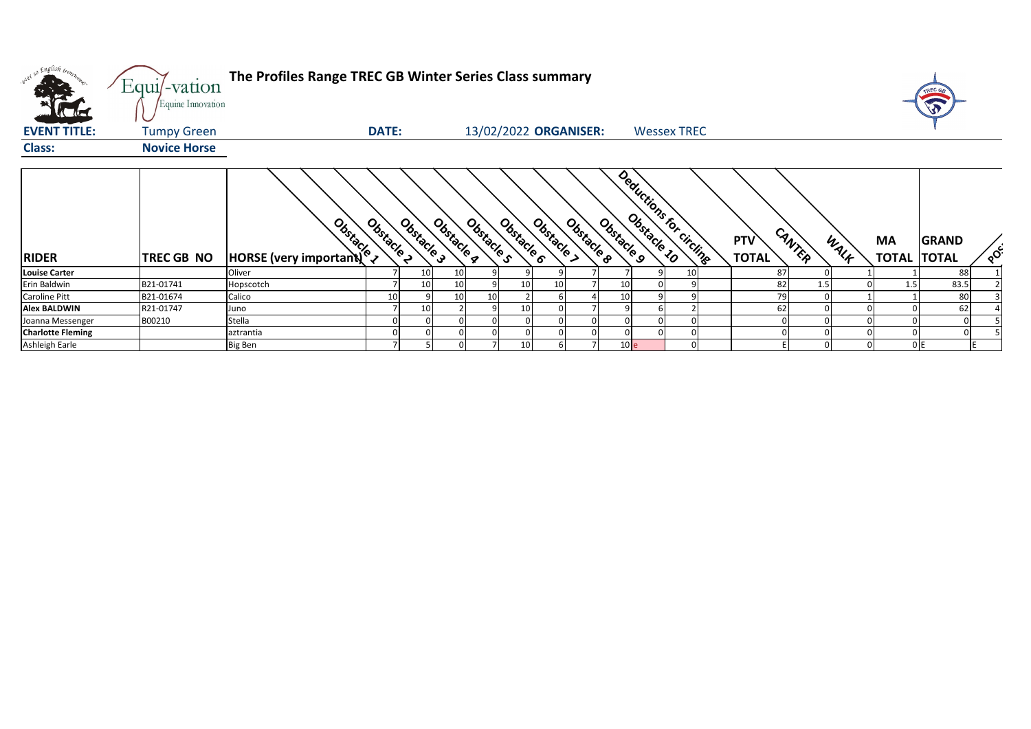| w <sup>ed 50</sup> English bronze | Equi/-vation<br>Equine Innovation | The Profiles Range TREC GB Winter Series Class summary |                          |                          |                 |                          |                 |                          |                                      |                   |                    | Ø                        |
|-----------------------------------|-----------------------------------|--------------------------------------------------------|--------------------------|--------------------------|-----------------|--------------------------|-----------------|--------------------------|--------------------------------------|-------------------|--------------------|--------------------------|
| <b>EVENT TITLE:</b>               | <b>Tumpy Green</b>                |                                                        | <b>DATE:</b>             |                          |                 | 13/02/2022 ORGANISER:    |                 | <b>Wessex TREC</b>       |                                      |                   |                    |                          |
| <b>Class:</b>                     | <b>Novice Horse</b>               |                                                        |                          |                          |                 |                          |                 |                          |                                      |                   |                    |                          |
| <b>RIDER</b>                      | TREC GB NO                        | <b>Branch Control Comportantly Composited</b>          | Obstacle 2<br>Obstacle 3 | Obstacle s<br>Obstacle 4 | Obstacle 6      | Obstacle &<br>Obstacle > | Obstacle 9      | Deductions for circlings | CANTER<br><b>PTV</b><br><b>TOTAL</b> | <b>MA</b><br>WALF | <b>TOTAL TOTAL</b> | <b>GRAND</b><br>$\delta$ |
| <b>Louise Carter</b>              |                                   | Oliver                                                 | 10                       | 10                       |                 |                          |                 | 10                       | 87                                   |                   |                    | 88                       |
| Erin Baldwin                      | B21-01741                         | Hopscotch                                              | 10                       | 10                       |                 |                          | 10              |                          | 82                                   | 1.5               | 1.5                | 83.5                     |
| Caroline Pitt                     | B21-01674                         | Calico                                                 | 10                       | 10<br>10                 |                 |                          | 10 <sup>1</sup> |                          | 79                                   |                   |                    | 80                       |
| <b>Alex BALDWIN</b>               | R21-01747                         | Juno                                                   | 10                       |                          |                 |                          |                 |                          | 62                                   |                   |                    | 62                       |
| Joanna Messenger                  | B00210                            | Stella                                                 |                          |                          |                 |                          |                 |                          |                                      |                   |                    |                          |
| <b>Charlotte Fleming</b>          |                                   | aztrantia                                              |                          |                          |                 |                          |                 |                          |                                      |                   |                    |                          |
| Ashleigh Earle                    |                                   | <b>Big Ben</b>                                         |                          |                          | 10 <sup>1</sup> |                          | 10 <sub>e</sub> |                          |                                      |                   | 0 E                |                          |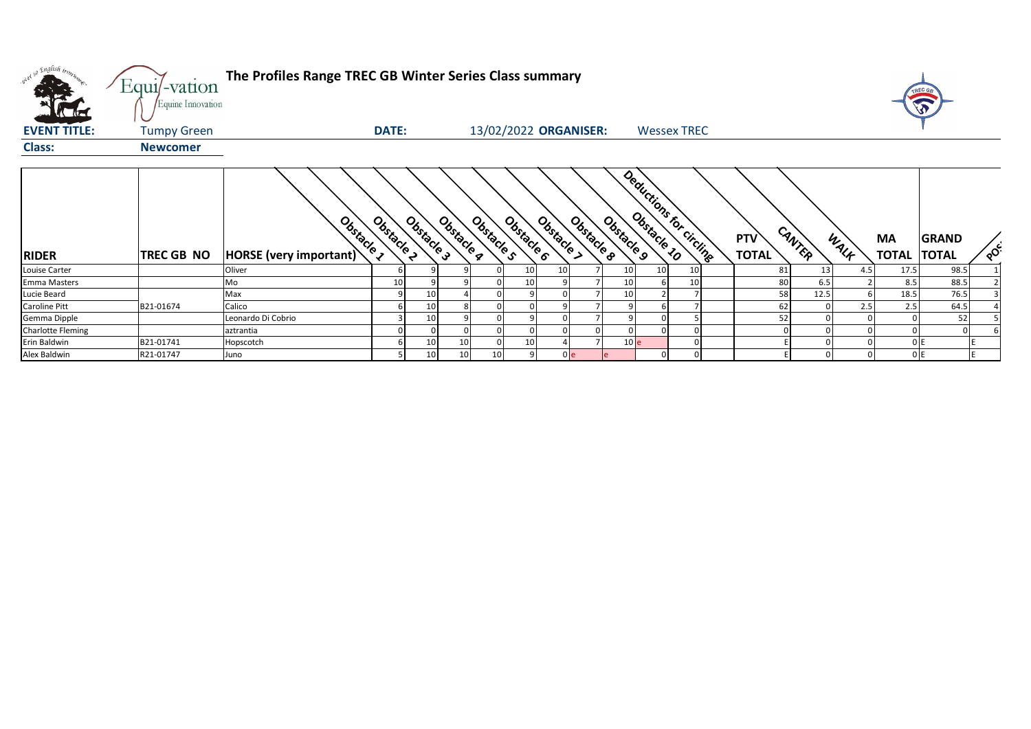| w <sup>ed so English bronz</sup><br><b>K</b> da d | Equi/-vation<br>Equine Innovation | The Profiles Range TREC GB Winter Series Class summary |            |                 |            |                       |                 |            |                |                 |                 |                         |                            |        |      |                           | TREC G<br>W                  |          |
|---------------------------------------------------|-----------------------------------|--------------------------------------------------------|------------|-----------------|------------|-----------------------|-----------------|------------|----------------|-----------------|-----------------|-------------------------|----------------------------|--------|------|---------------------------|------------------------------|----------|
| <b>EVENT TITLE:</b>                               | <b>Tumpy Green</b>                |                                                        | DATE:      |                 |            | 13/02/2022 ORGANISER: |                 |            |                |                 |                 | <b>Wessex TREC</b>      |                            |        |      |                           |                              |          |
| <b>Class:</b>                                     | <b>Newcomer</b>                   |                                                        |            |                 |            |                       |                 |            |                |                 |                 |                         |                            |        |      |                           |                              |          |
| <b>RIDER</b>                                      | TREC GB NO                        | Obstacle 1<br>HORSE (very important)                   | Obstacle 2 | Obstacle 3      | Obstacle g | Obstacle s            | Obstacle 6      | Obstacle > | Obstacle 8     | Obstacle 9      |                 | Deductions for circline | <b>PTV</b><br><b>TOTAL</b> | CANTER | WALK | <b>MA</b><br><b>TOTAL</b> | <b>GRAND</b><br><b>TOTAL</b> | $\delta$ |
| Louise Carter                                     |                                   | Oliver                                                 |            |                 |            |                       | 10 <sub>1</sub> | 10         |                | 10              | 10 <sup>1</sup> | 10                      | 81                         | 13     | 4.5  | 17.5                      | 98.5                         |          |
| <b>Emma Masters</b>                               |                                   | Mo                                                     | 10         |                 |            |                       | 10              |            |                | 10              |                 |                         | 80                         | 6.5    |      | 8.5                       | 88.5                         |          |
| Lucie Beard                                       |                                   | Max                                                    |            | 10              |            |                       |                 |            |                | 10              |                 |                         | 58                         | 12.5   |      | 18.5                      | 76.5                         |          |
| Caroline Pitt                                     | B21-01674                         | Calico                                                 |            | 10              |            |                       |                 |            |                |                 |                 |                         | 62                         |        | 2.5  | 2.5                       | 64.5                         |          |
| Gemma Dipple                                      |                                   | Leonardo Di Cobrio                                     |            | 10              |            |                       |                 |            |                |                 |                 |                         | 52                         |        |      |                           | 52                           |          |
| <b>Charlotte Fleming</b>                          |                                   | aztrantia                                              |            |                 |            |                       |                 |            |                |                 |                 |                         |                            |        |      |                           |                              |          |
| Erin Baldwin                                      | B21-01741                         | Hopscotch                                              |            | 10              | 10         |                       | 10              |            |                | 10 <sub>e</sub> |                 |                         |                            |        |      |                           | 0 I E                        |          |
| Alex Baldwin                                      | R21-01747                         | Juno                                                   |            | 10 <sup>°</sup> | 10         | 10                    |                 |            | 0 <sub>e</sub> |                 |                 |                         |                            |        |      |                           | 0E                           |          |